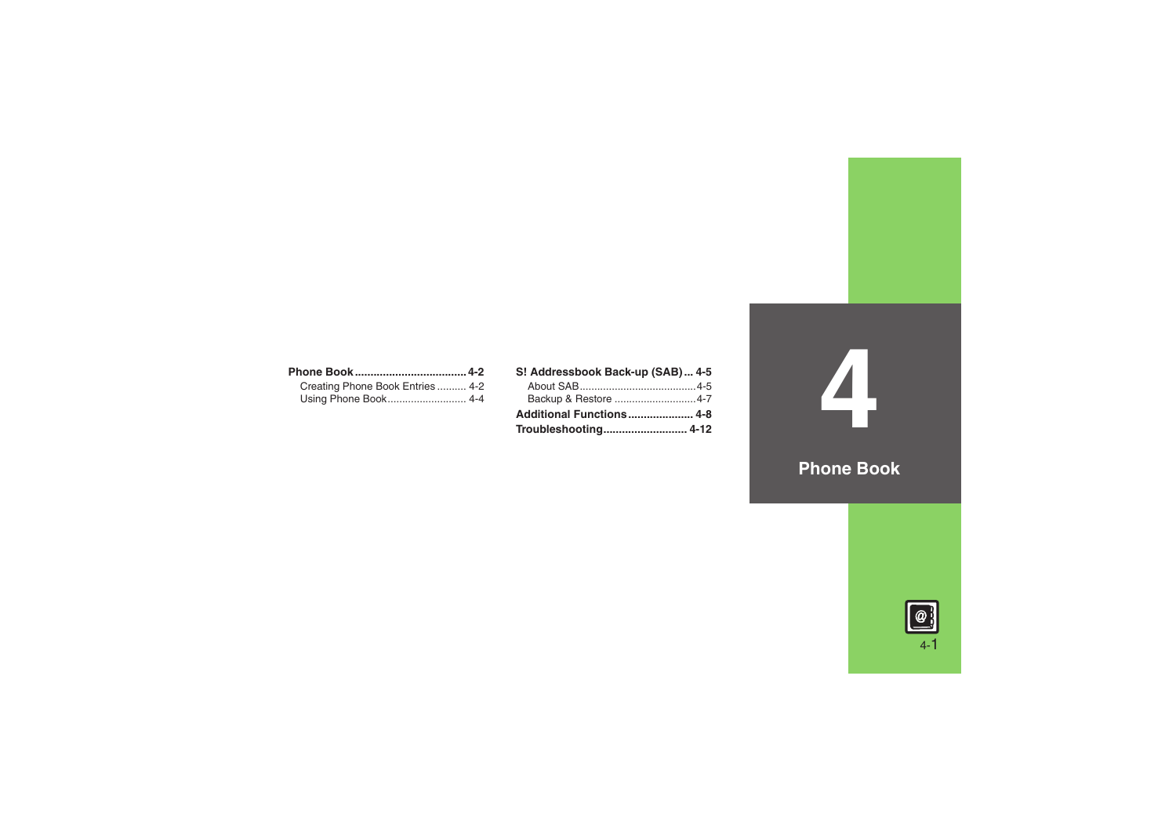| Creating Phone Book Entries 4-2 |  |
|---------------------------------|--|
|                                 |  |

| S! Addressbook Back-up (SAB) 4-5 |  |
|----------------------------------|--|
|                                  |  |
|                                  |  |
| Additional Functions 4-8         |  |
|                                  |  |

**Phone Book**

**4**

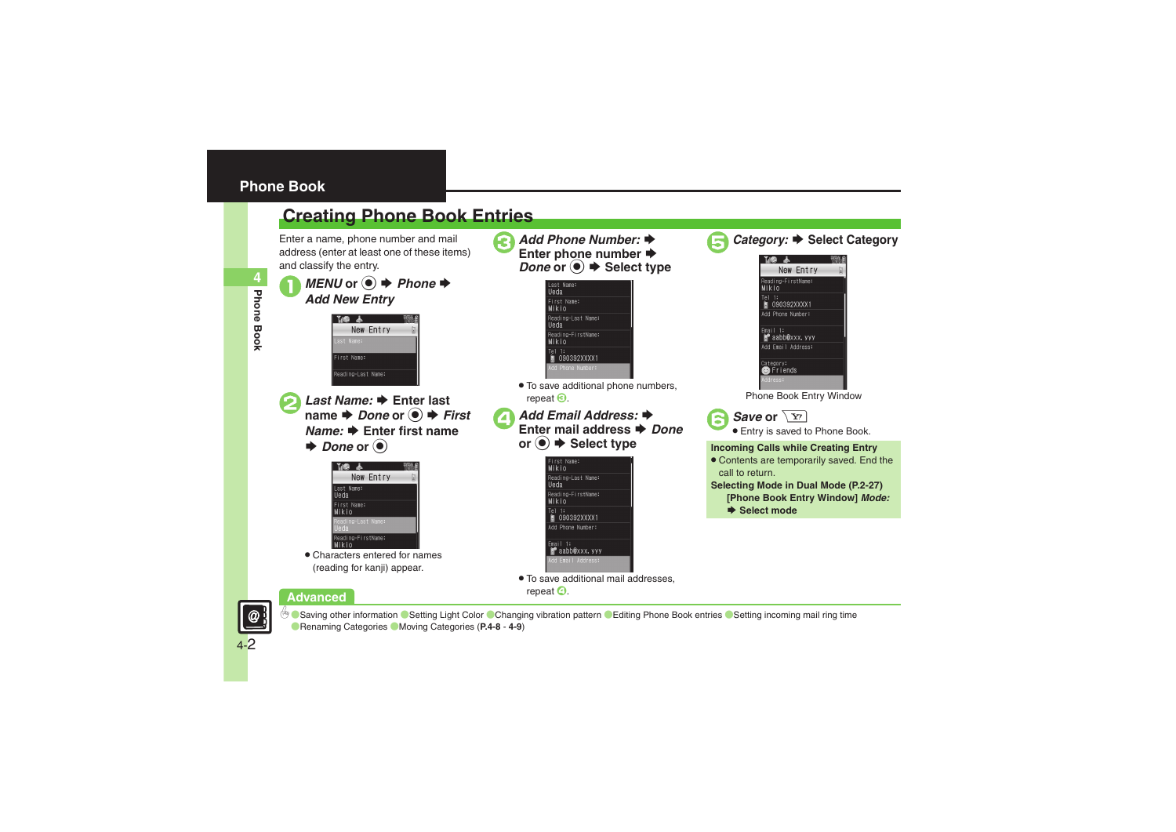## <span id="page-1-1"></span><span id="page-1-0"></span>**Creating Phone Book Entries**

Enter a name, phone number and mail address (enter at least one of these items) and classify the entry.

**4**Phone Book **Phone Book** *MENU* or **●** *→ Phone* **→** *Add New Entry* 



**2** *Last Name:* ♦ Enter last name **♦** *Done* or ● *First Name:* ➡ Enter first name  $\blacktriangleright$  *Done* or  $\textcircled{\scriptsize{\bullet}}$ 



. Characters entered for names (reading for kanji) appear.

**Advanced**



Reading-FirstName: **Mikio**  $rel1:$ 

■ 090392XXXX1 d Phone Number:

. To save additional phone numbers, repeat  $\Theta$ .

```
Add Email Address: \rightarrowEnter mail address → Done
or \left( \bullet \right) \bullet Select type
```


. To save additional mail addresses, repeat  $\boldsymbol{\Theta}$ .



Category: **→** Select Category

| Tu <b>g</b>                    |  |
|--------------------------------|--|
| New Entry                      |  |
| Reading-FirstName:<br>Mikio    |  |
| Tel 1:<br>M 090392XXXX1        |  |
| Add Phone Number:              |  |
| Fmail 1:<br>⊯°aabb@xxx, yyy    |  |
| Add Email Address:             |  |
| Category:<br><b>@</b> PFriends |  |
| Address:                       |  |

Phone Book Entry Window





#### **Incoming Calls while Creating Entry**

- . Contents are temporarily saved. End the call to return.
- **Selecting Mode in Dual Mode (P.2-27)**
	- **[Phone Book Entry Window]** *Mode:*
	- S **Select mode**



<sup>6</sup> [Saving other information](#page-7-1) ● [Setting Light Color](#page-7-2) ● [Changing vibration pattern](#page-7-3) ● [Editing Phone Book entries](#page-8-0) ● Setting incoming mail ring time ([Renaming Categories](#page-8-2) ([Moving Categories](#page-8-3) (**[P.4-8](#page-7-1)** - **[4-9](#page-8-3)**)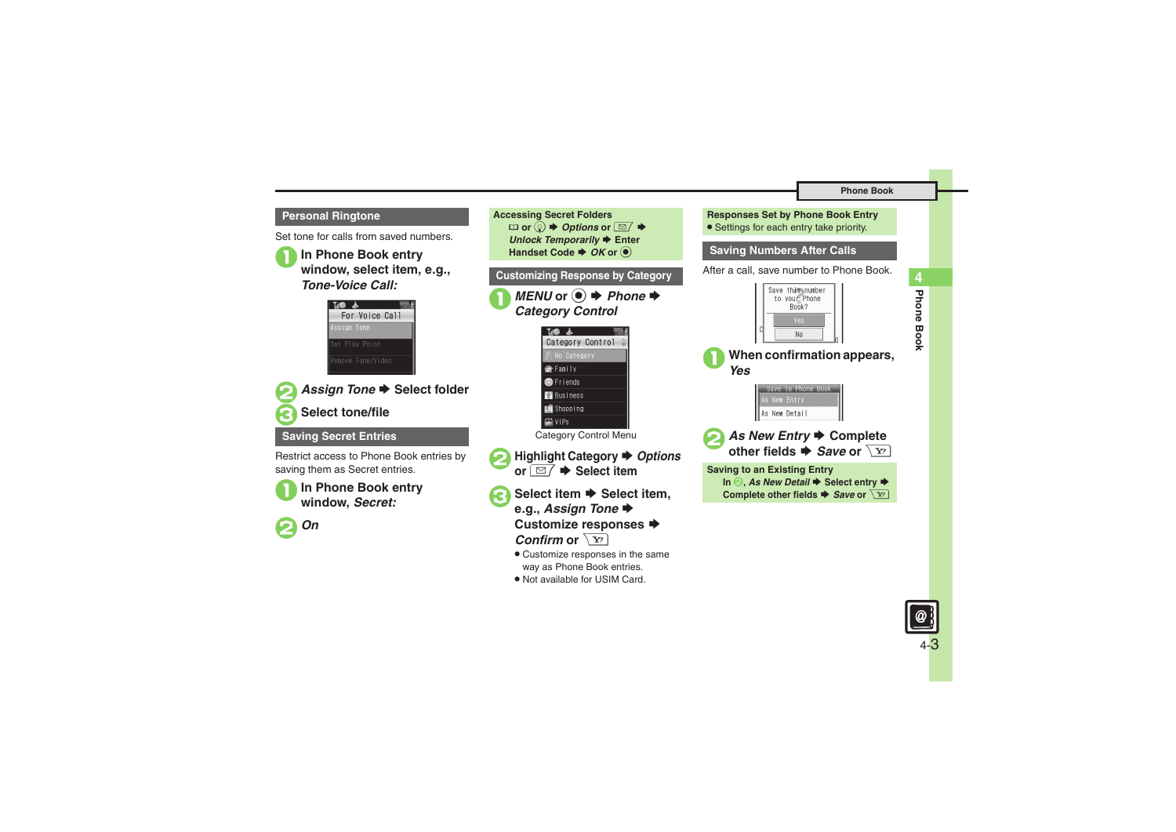#### **Personal Ringtone**

Set tone for calls from saved numbers.

<sup>1</sup>**In Phone Book entry window, select item, e.g.,**  *Tone-Voice Call:*





■ Assign Tone **▶** Select folder

## 3**Select tone/file**

#### **Saving Secret Entries**

Restrict access to Phone Book entries by saving them as Secret entries.



1**In Phone Book entry window,** *Secret:*



**Accessing Secret Folders**  $\Box$  or  $\textcircled{e} \blacktriangleright$  *Options* or  $\textcircled{=} \blacktriangleright$ **Unlock Temporarily → Enter Handset Code ♦ OK or ● Customizing Response by Category** ■ *MENU* or **●** *Phone Category Control* THE & Category Control No Category Family **B** Friends **Business** Shopping 講VIPs Category Control Menu ■ Highlight Category **→** Options **or**  $\boxed{\text{ } \boxdot \text{ } }$  $\blacktriangleright$  **Select item** 3**Select item**  S **Select item, e.g.,** *Assign Tone* S**Customize responses ➡** *Confirm* or  $\sqrt{\mathbf{x}'}$ 

- . Customize responses in the same way as Phone Book entries.
- . Not available for USIM Card.

| <b>Responses Set by Phone Book Entry</b><br>• Settings for each entry take priority.                                                                                                          |
|-----------------------------------------------------------------------------------------------------------------------------------------------------------------------------------------------|
| <b>Saving Numbers After Calls</b>                                                                                                                                                             |
| After a call, save number to Phone Book.                                                                                                                                                      |
| Save this number<br>to your Phone<br>Book?<br>Yes<br>N <sub>0</sub>                                                                                                                           |
| When confirmation appears,<br>Yes                                                                                                                                                             |
| Save to Phone Book<br>New Entry<br>New Detail                                                                                                                                                 |
| As New Entry $\blacktriangleright$ Complete<br>other fields $\blacktriangleright$ <i>Save</i> or $\sqrt{x}$                                                                                   |
| <b>Saving to an Existing Entry</b><br>In $\odot$ , As New Detail $\blacktriangleright$ Select entry $\blacktriangleright$<br>Complete other fields $\blacktriangleright$ Save or $\boxed{Y'}$ |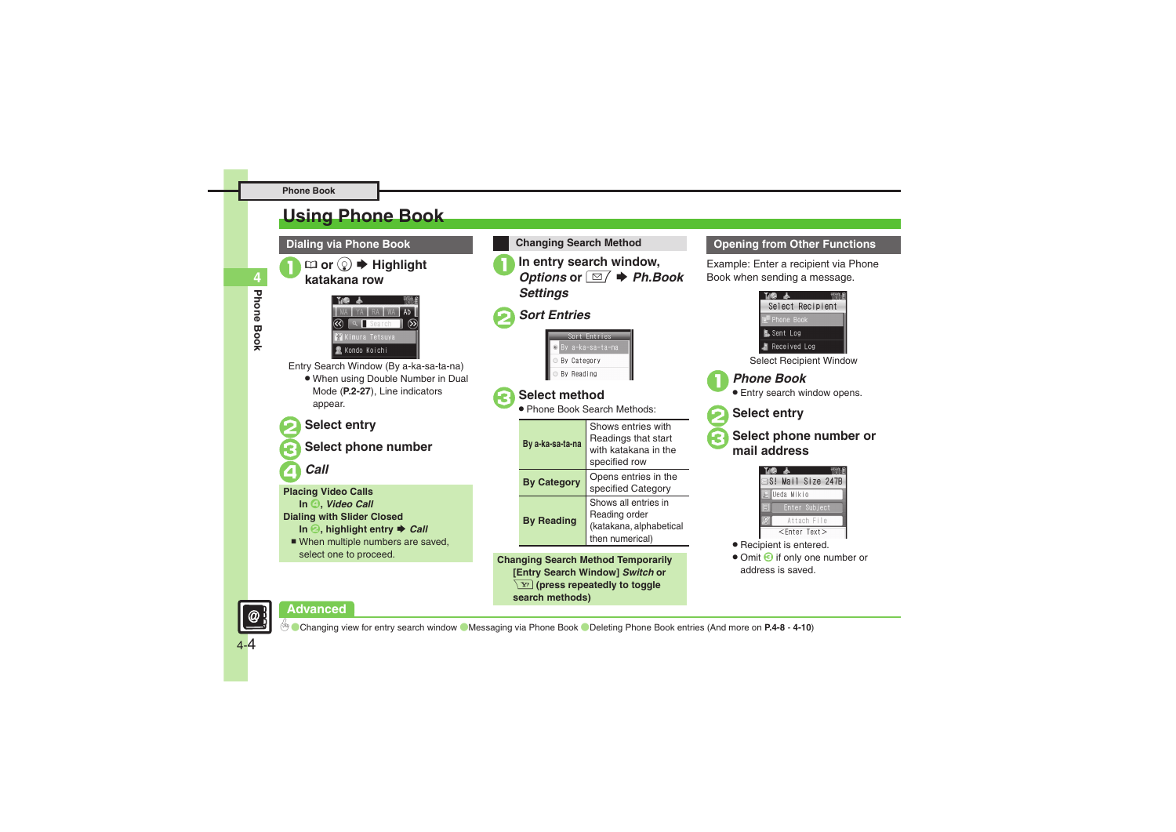## <span id="page-3-0"></span>**Using Phone Book**

**Dialing via Phone Book**

1' **or** <sup>b</sup> <sup>S</sup> **Highlight katakana row**



Entry Search Window (By a-ka-sa-ta-na)

. When using Double Number in Dual Mode (**P.2-27**), Line indicators appear.

## 2**Select entry**

3**Select phone number**

4*Call*

**Placing Video Calls In** 4**,** *Video Call* **Dialing with Slider Closed In <sup>◎</sup>, highlight entry ♦ Call** ■ When multiple numbers are saved, select one to proceed.

**In entry search window,**<br>*Options* or **⊠ ◆ Ph.Book** *Settings* 2*Sort Entries* ort Entries v a-ka-sa-ta-na **Ry Category** By Reading 3**Select method** . Phone Book Search Methods: Shows entries with Readings that start **By a-ka-sa-ta-na** with katakana in the specified row **By Category** Opens entries in the specified Category Shows all entries in Reading order **By Reading** (katakana, alphabetical

**Changing Search Method**

**Changing Search Method Temporarily [Entry Search Window]** *Switch* **or**  A **(press repeatedly to toggle search methods)**

then numerical)

#### **Opening from Other Functions**

Example: Enter a recipient via Phone Book when sending a message.



• Omit **G** if only one number or address is saved.

**Advanced**



4-4

0([Changing view for entry search window](#page-7-4) ([Messaging via Phone Book](#page-8-4) ([Deleting Phone Book entries](#page-9-0) (And more on **[P.4-8](#page-7-4)** - **[4-10](#page-9-1)**)

**4**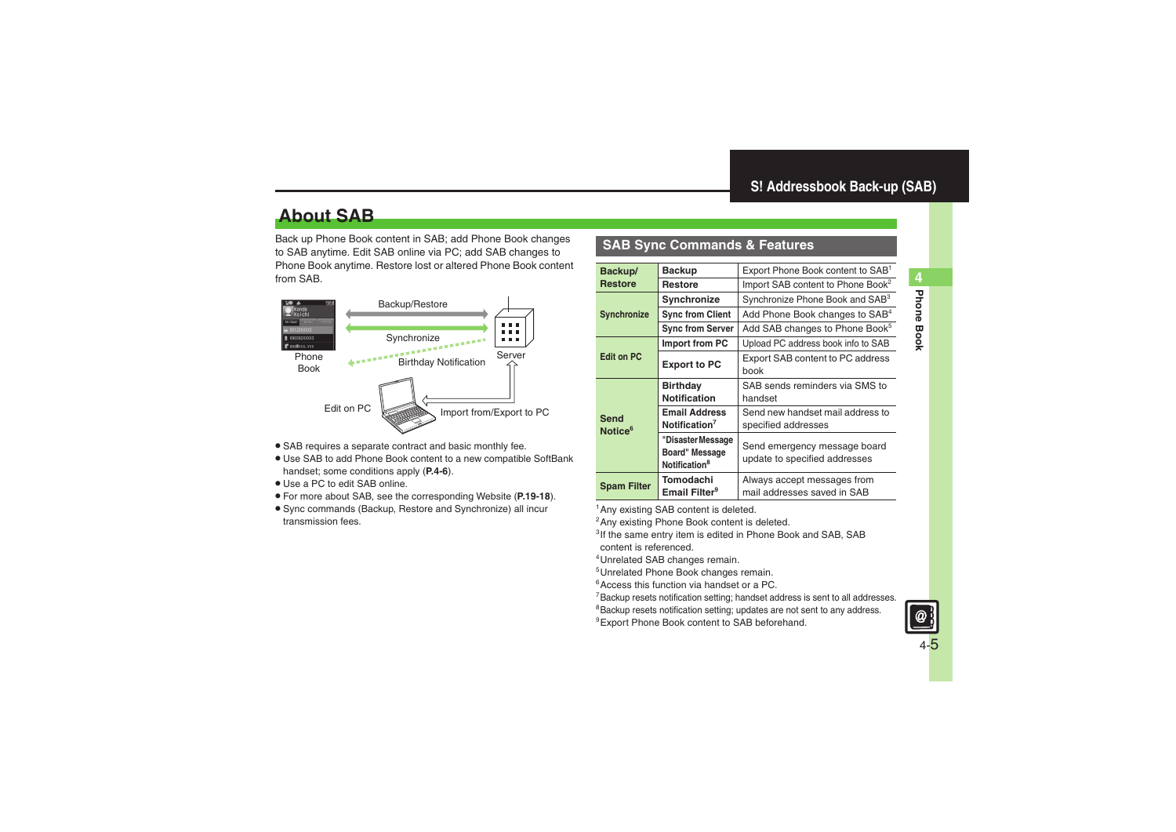## <span id="page-4-1"></span>**About SAB**

Back up Phone Book content in SAB; add Phone Book changes to SAB anytime. Edit SAB online via PC; add SAB changes to Phone Book anytime. Restore lost or altered Phone Book content from SAB.



- . SAB requires a separate contract and basic monthly fee.
- . Use SAB to add Phone Book content to a new compatible SoftBank handset; some conditions apply (**[P.4-6](#page-5-0)**).
- . Use a PC to edit SAB online.
- . For more about SAB, see the corresponding Website (**P.19-18**).
- . Sync commands (Backup, Restore and Synchronize) all incur transmission fees.

## <span id="page-4-0"></span>**SAB Sync Commands & Features**

| Backup/                     | <b>Backup</b>                                                    | Export Phone Book content to SAB <sup>1</sup>                 |
|-----------------------------|------------------------------------------------------------------|---------------------------------------------------------------|
| <b>Restore</b>              | <b>Restore</b>                                                   | Import SAB content to Phone Book <sup>2</sup>                 |
|                             | Synchronize                                                      | Synchronize Phone Book and SAB <sup>3</sup>                   |
| <b>Synchronize</b>          | <b>Sync from Client</b>                                          | Add Phone Book changes to SAB <sup>4</sup>                    |
|                             | <b>Sync from Server</b>                                          | Add SAB changes to Phone Book <sup>5</sup>                    |
|                             | Import from PC                                                   | Upload PC address book info to SAB                            |
| <b>Edit on PC</b>           | <b>Export to PC</b>                                              | Export SAB content to PC address<br>book                      |
|                             | <b>Birthday</b><br><b>Notification</b>                           | SAB sends reminders via SMS to<br>handset                     |
| Send<br>Notice <sup>6</sup> | <b>Email Address</b><br>Notification <sup>7</sup>                | Send new handset mail address to<br>specified addresses       |
|                             | "Disaster Message<br>Board" Message<br>Notification <sup>8</sup> | Send emergency message board<br>update to specified addresses |
| <b>Spam Filter</b>          | Tomodachi<br>Email Filter <sup>9</sup>                           | Always accept messages from<br>mail addresses saved in SAB    |

<sup>1</sup>Any existing SAB content is deleted.

<sup>2</sup> Any existing Phone Book content is deleted.

<sup>3</sup>If the same entry item is edited in Phone Book and SAB, SAB content is referenced.

4Unrelated SAB changes remain.

5Unrelated Phone Book changes remain.

6Access this function via handset or a PC.

7Backup resets notification setting; handset address is sent to all addresses.

<sup>8</sup>Backup resets notification setting; updates are not sent to any address.

<sup>9</sup> Export Phone Book content to SAB beforehand.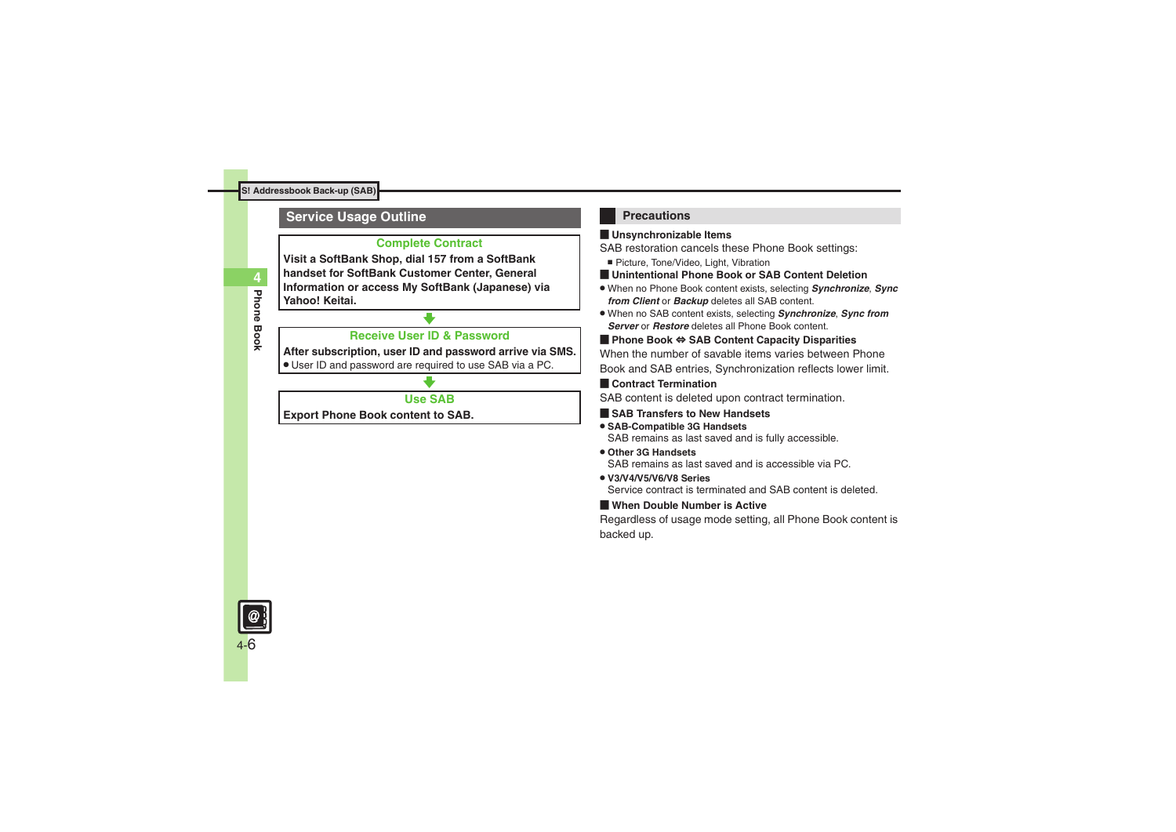## <span id="page-5-0"></span>**Service Usage Outline**

#### **Complete Contract**

**Visit a SoftBank Shop, dial 157 from a SoftBank handset for SoftBank Customer Center, General Information or access My SoftBank (Japanese) via Yahoo! Keitai.**

## **Receive User ID & Password**

#### **After subscription, user ID and password arrive via SMS.**

. User ID and password are required to use SAB via a PC.

## **Use SAB**

**Export Phone Book content to SAB.**

## **Precautions**

#### [ **Unsynchronizable Items**

SAB restoration cancels these Phone Book settings:

- Picture, Tone/Video, Light, Vibration
- [ **Unintentional Phone Book or SAB Content Deletion**
- . When no Phone Book content exists, selecting *Synchronize*, *Sync from Client* or *Backup* deletes all SAB content.
- . When no SAB content exists, selecting *Synchronize*, *Sync from Server* or *Restore* deletes all Phone Book content.

#### [ **Phone Book** ⇔ **SAB Content Capacity Disparities**

When the number of savable items varies between Phone Book and SAB entries, Synchronization reflects lower limit.

#### **Exercicle Contract Termination**

SAB content is deleted upon contract termination.

- $\blacksquare$  **SAB Transfers to New Handsets**
- . **SAB-Compatible 3G Handsets** SAB remains as last saved and is fully accessible.
- . **Other 3G Handsets**SAB remains as last saved and is accessible via PC.
- . **V3/V4/V5/V6/V8 Series**Service contract is terminated and SAB content is deleted.

## [ **When Double Number is Active**

Regardless of usage mode setting, all Phone Book content is backed up.

4-6

**Phone Book**

**Phone Book** 

**4**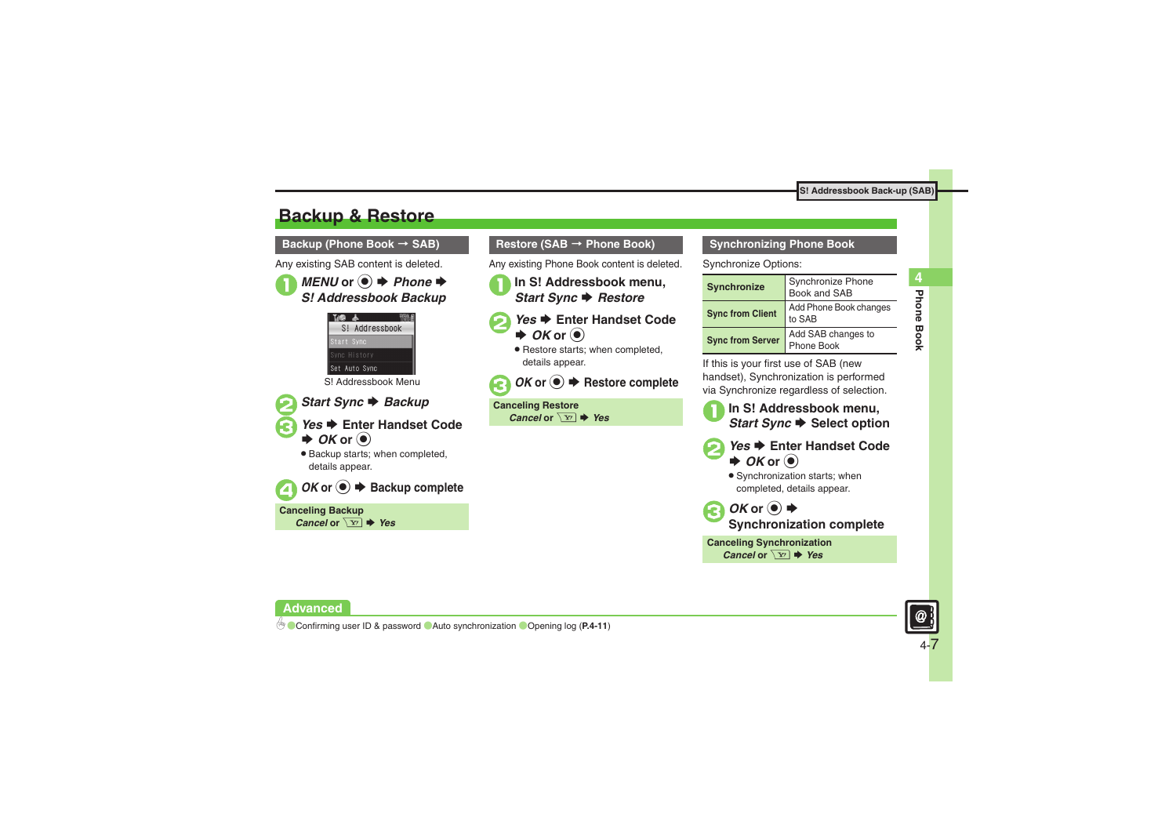## <span id="page-6-0"></span>**Backup & Restore**

**Backup (Phone Book**  <sup>&</sup>gt; **SAB)**

Any existing SAB content is deleted.





■ Start Sync **▶ Backup** 

- 3*Yes* S **Enter Handset Code**   $\rightarrow$  *OK* or  $\odot$ 
	- . Backup starts; when completed, details appear.



**Canceling Backup** *Cancel* or  $\boxed{Y}$   $\rightarrow$  *Yes* 

### **Restore (SAB**  <sup>&</sup>gt; **Phone Book)**

Any existing Phone Book content is deleted.

- <sup>1</sup>**In S! Addressbook menu,** *Start Sync* S *Restore*
- **2***Yes* ♦ Enter Handset Code  $\rightarrow$  *OK* or  $\odot$ 
	- . Restore starts; when completed, details appear.



**Canceling Restore** *Cancel* or  $\boxed{Y}$   $\blacktriangleright$  *Yes* 

#### **Synchronizing Phone Book**

Synchronize Options:

| Synchronize             | Synchronize Phone<br>Book and SAB |
|-------------------------|-----------------------------------|
| <b>Sync from Client</b> | Add Phone Book changes<br>to SAB  |
| <b>Sync from Server</b> | Add SAB changes to<br>Phone Book  |

If this is your first use of SAB (new handset), Synchronization is performed via Synchronize regardless of selection.

<sup>1</sup>**In S! Addressbook menu,** *Start Sync* S **Select option**

- **2***Yes* ♦ Enter Handset Code  $\rightarrow$  *OK* or  $\odot$ 
	- . Synchronization starts; when completed, details appear.



**Synchronization complete**

**Canceling Synchronization** *Cancel* or  $\boxed{Y}$   $\blacktriangleright$  *Yes* 



**Phone Book 4**

Phone Book

4

**Advanced**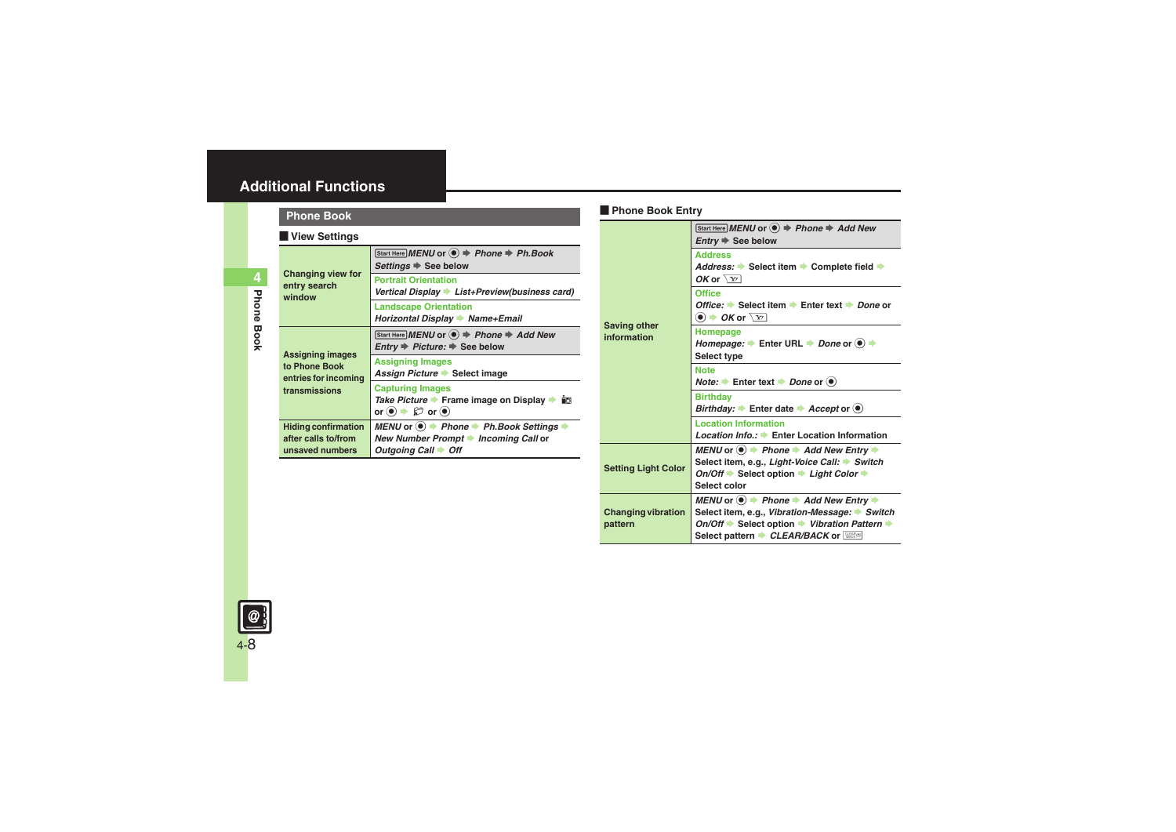## <span id="page-7-0"></span>**Additional Functions**

## **Phone Book**

#### [ **View Settings**

<span id="page-7-4"></span>

| <b>Changing view for</b><br>entry search<br>window                                | Start Here MENU or $\textcircled{\textbf{}} \Rightarrow$ Phone $\Rightarrow$ Ph.Book<br>Settings $\Rightarrow$ See below                                            |
|-----------------------------------------------------------------------------------|---------------------------------------------------------------------------------------------------------------------------------------------------------------------|
|                                                                                   | <b>Portrait Orientation</b><br>Vertical Display List+Preview(business card)                                                                                         |
|                                                                                   | <b>Landscape Orientation</b><br>Horizontal Display > Name+Email                                                                                                     |
| <b>Assigning images</b><br>to Phone Book<br>entries for incoming<br>transmissions | Start Here MENU or ● → Phone → Add New<br>$Entry \Rightarrow Picture: \Rightarrow See below$                                                                        |
|                                                                                   | <b>Assigning Images</b><br>Assign Picture Select image                                                                                                              |
|                                                                                   | <b>Capturing Images</b><br>Take Picture → Frame image on Display → 國<br>or $\left( \bullet \right)$ $\Rightarrow$ $\left( \Box \right)$ or $\left( \bullet \right)$ |
| <b>Hiding confirmation</b><br>after calls to/from<br>unsaved numbers              | MENU or $\textcircled{\bullet}$ $\Rightarrow$ Phone $\Rightarrow$ Ph. Book Settings $\Rightarrow$<br>New Number Prompt Incoming Call or<br>Outgoing Call + Off      |

## [ **Phone Book Entry Phone Book**

<span id="page-7-3"></span><span id="page-7-2"></span><span id="page-7-1"></span>

|                                      | Start Here MENU or $\textcircled{\textcircled{\textcirc}}$ $\Rightarrow$ Phone $\Rightarrow$ Add New<br>$Entry \Rightarrow$ See below                                                                                                                |
|--------------------------------------|------------------------------------------------------------------------------------------------------------------------------------------------------------------------------------------------------------------------------------------------------|
| <b>Saving other</b><br>information   | <b>Address</b><br>Address: Select item Complete field →<br>OK or $\sqrt{x}$                                                                                                                                                                          |
|                                      | Office<br>Office: $\Rightarrow$ Select item $\Rightarrow$ Enter text $\Rightarrow$ Done or<br>$\bullet$ $\bullet$ OK or $\boxed{Y}$                                                                                                                  |
|                                      | Homepage<br>Homepage: $\blacktriangleright$ Enter URL $\blacktriangleright$ Done or $\blacklozenge$ $\blacktriangleright$<br>Select type                                                                                                             |
|                                      | <b>Note</b><br><i>Note:</i> $\rightarrow$ Enter text $\rightarrow$ <i>Done</i> or $\odot$                                                                                                                                                            |
|                                      | <b>Birthday</b><br>Birthday: $\rightarrow$ Enter date $\rightarrow$ Accept or $\circledast$                                                                                                                                                          |
|                                      | <b>Location Information</b><br>Location Info.: ▶ Enter Location Information                                                                                                                                                                          |
| <b>Setting Light Color</b>           | MENU or $\textcircled{\textcircled{\textcirc}}$ Phone $\textuparrow$ Add New Entry $\textuparrowled{\textcircled{\textcircled{\textcirc}}}$<br>Select item, e.g., Light-Voice Call: Switch<br>On/Off → Select option → Light Color →<br>Select color |
| <b>Changing vibration</b><br>pattern | MENU or $\bullet$ $\bullet$ Phone $\bullet$ Add New Entry $\bullet$<br>Select item, e.g., Vibration-Message: ▶ Switch<br>On/Off Select option Vibration Pattern →<br>Select pattern <i>CLEAR/BACK</i> or <b>Research</b>                             |

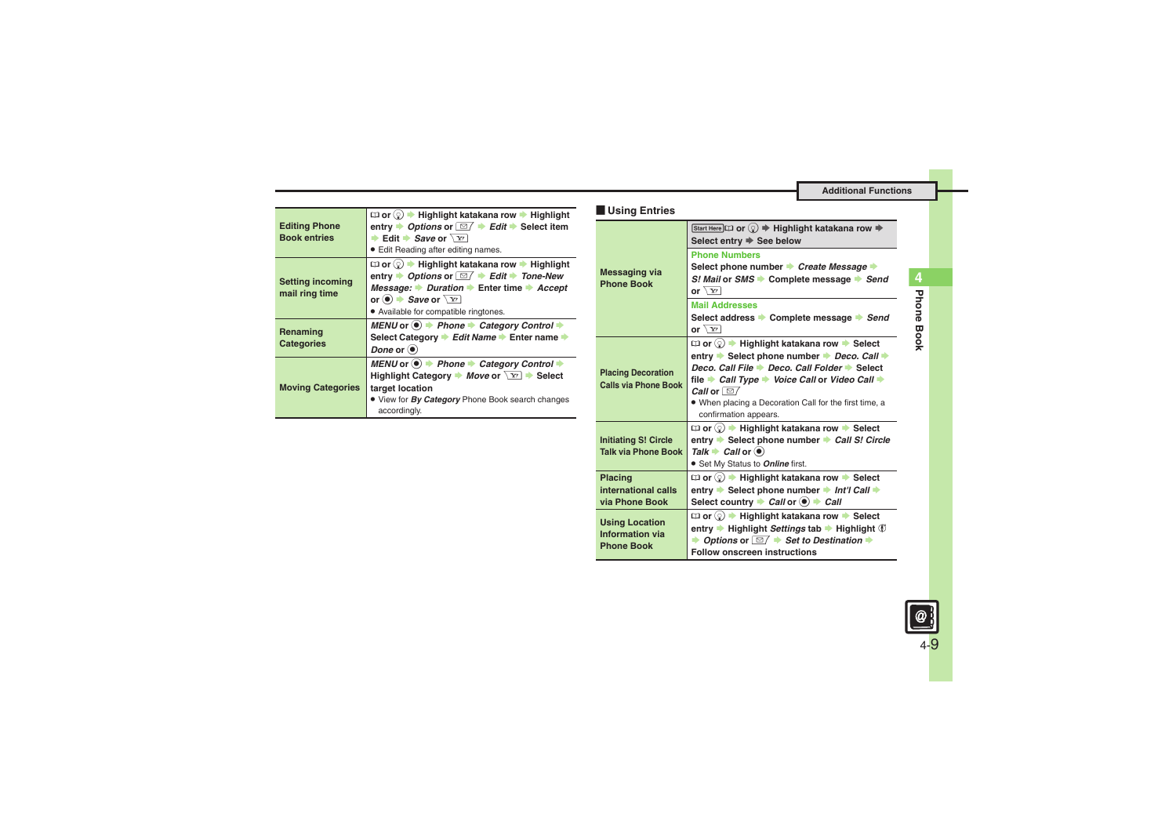**Additional Functions**

<span id="page-8-3"></span><span id="page-8-2"></span><span id="page-8-1"></span><span id="page-8-0"></span>

| $\Box$ or $\Diamond$ $\rightarrow$ Highlight katakana row $\rightarrow$ Highlight                                                                                                                                                                                                                                                                                                | Using Entries                                           |
|----------------------------------------------------------------------------------------------------------------------------------------------------------------------------------------------------------------------------------------------------------------------------------------------------------------------------------------------------------------------------------|---------------------------------------------------------|
| entry $\rightarrow$ Options or $\boxed{\cong}$ $\rightarrow$ Edit $\rightarrow$ Select item<br><b>► Edit + Save or</b> $\sqrt{Y}$                                                                                                                                                                                                                                                |                                                         |
| • Edit Reading after editing names.                                                                                                                                                                                                                                                                                                                                              |                                                         |
| $\Box$ or $\Diamond$ $\blacktriangleright$ Highlight katakana row $\blacktriangleright$ Highlight<br>entry $\rightarrow$ Options or $\boxed{\leq}$ $\rightarrow$ Edit $\rightarrow$ Tone-New<br>Message: $\rightarrow$ Duration $\rightarrow$ Enter time $\rightarrow$ Accept<br>or $\odot$ $\rightarrow$ <i>Save</i> or $\overline{Y}$<br>• Available for compatible ringtones. | <b>Messaging via</b><br><b>Phone Book</b>               |
| MENU or $\circledast$ > Phone $\bullet$ Category Control $\bullet$<br>Select Category → Edit Name → Enter name →<br>Done or $\odot$                                                                                                                                                                                                                                              |                                                         |
| MENU or $\circledast$ $\Rightarrow$ Phone $\Rightarrow$ Category Control $\Rightarrow$<br>Highlight Category $\blacktriangleright$ Move or $\boxed{Y}$ $\blacktriangleright$ Select<br>target location<br>• View for By Category Phone Book search changes<br>accordingly.                                                                                                       | <b>Placing Decoration</b><br><b>Calls via Phone Bod</b> |
|                                                                                                                                                                                                                                                                                                                                                                                  |                                                         |

#### <span id="page-8-4"></span>**Messaging via Phone Book**7' **or**  b S **Highlight katakana row**  S **Select entry**  S **See belowPhone NumbersSelect phone number Create Message**  *S! Mail* **or** *SMS* S **Complete message**  S *Send* **or**  $\sqrt{x}$ **Mail AddressesSelect address Complete message Channel or**  $\sqrt{x}$ **Placing Decoration Calls via Phone Book** $\square$  or  $\textcircled{?}$   $\blacktriangleright$  Highlight katakana row  $\blacktriangleright$  Select entry **▶ Select phone number ▶ Deco. Call ▶ Deco. Call File → Deco. Call Folder → Select file → Call Type → Voice Call or Video Call** *Call* or  $\boxed{\cong}$  . When placing a Decoration Call for the first time, a confirmation appears. **Initiating S! Circle Talk via Phone Book** $\square$  or  $\textcircled{?}$   $\blacktriangleright$  Highlight katakana row  $\blacktriangleright$  Select **entry Select phone number Call S! Circle**  $\mathsf{T}$ alk  $\blacktriangleright$  *Call* or  $\textcircled{\scriptsize{\bullet}}$ . Set My Status to *Online* first. **Placing international calls via Phone Book** $\square$  or  $\textcircled{?}$   $\blacktriangleright$  Highlight katakana row  $\blacktriangleright$  Select **entry → Select phone number → Int'l Call →** Select country **→ Call** or ● → Call **Using Location Information via Phone Book** $\square$  or  $\textcircled{?}$   $\blacktriangleright$  Highlight katakana row  $\blacktriangleright$  Select **entry ➡ Highlight** *Settings* **tab ➡ Highlight**  $\circledV$ **→ Options or**  $\boxed{\cong}$  **→ Set to Destination Follow onscreen instructions**



 $\alpha$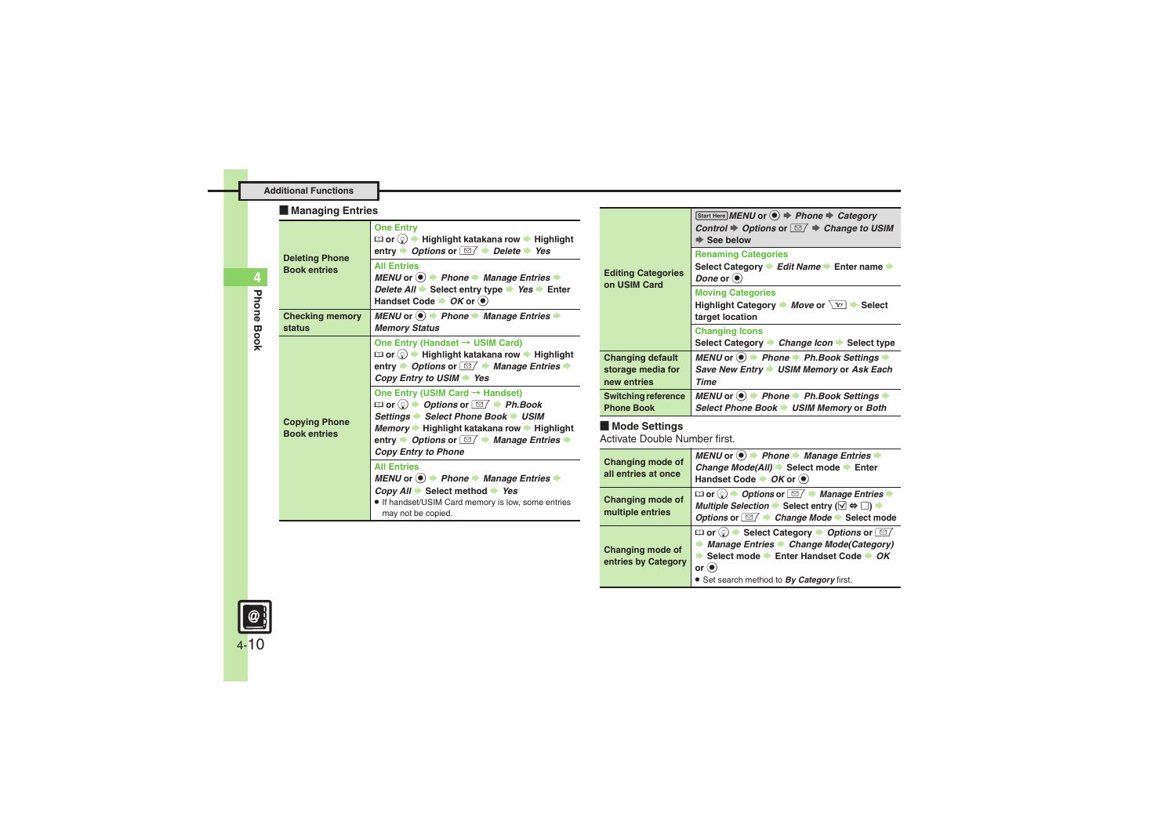#### **Additional Functions**

#### [ **Managing Entries**

<span id="page-9-0"></span>

| <b>Deleting Phone</b><br><b>Book entries</b> | <b>One Entry</b><br>$\Box$ or $\Diamond$ $\blacktriangleright$ Highlight katakana row $\blacktriangleright$ Highlight<br>entry $\rightarrow$ Options or $\boxed{\cong}$ $\rightarrow$ Delete $\rightarrow$ Yes                                                                                                                                                                                               |
|----------------------------------------------|--------------------------------------------------------------------------------------------------------------------------------------------------------------------------------------------------------------------------------------------------------------------------------------------------------------------------------------------------------------------------------------------------------------|
|                                              | <b>All Entries</b><br>MENU or $\bullet$ $\bullet$ Phone $\bullet$ Manage Entries $\bullet$<br>Delete All $\rightarrow$ Select entry type $\rightarrow$ Yes $\rightarrow$ Enter<br>Handset Code $\rightarrow$ OK or $\left(\bullet\right)$                                                                                                                                                                    |
| <b>Checking memory</b><br>status             | MENU or $\bullet$ $\bullet$ Phone $\bullet$ Manage Entries $\bullet$<br><b>Memory Status</b>                                                                                                                                                                                                                                                                                                                 |
| <b>Copying Phone</b><br><b>Book entries</b>  | One Entry (Handset $\rightarrow$ USIM Card)<br>$\Box$ or $\Diamond$ $\rightarrow$ Highlight katakana row $\rightarrow$ Highlight<br>entry $\rightarrow$ Options or $\boxed{\simeq}$ $\rightarrow$ Manage Entries $\rightarrow$<br>Copy Entry to USIM Yes                                                                                                                                                     |
|                                              | One Entry (USIM Card $\rightarrow$ Handset)<br><b><math>\Box</math></b> or $\textcircled{e}$ $\rightarrow$ <i>Options</i> or $\boxed{\textcircled{f}}$ $\rightarrow$ <i>Ph.Book</i><br>Settings → Select Phone Book → USIM<br><i>Memory</i> → Highlight katakana row → Highlight<br>entry $\rightarrow$ Options or $\boxed{\simeq}$ $\rightarrow$ Manage Entries $\rightarrow$<br><b>Copy Entry to Phone</b> |
|                                              | <b>All Entries</b><br>MENU or $\bullet$ > Phone $\bullet$ Manage Entries $\bullet$<br>$Copy All \rightarrow Select method \rightarrow Yes$<br>. If handset/USIM Card memory is low, some entries<br>may not be copied.                                                                                                                                                                                       |

| <b>Editing Categories</b><br>on USIM Card                   | Start Here MENU or ● → Phone → Category<br>Control $\Rightarrow$ Options or $\Box / \Rightarrow$ Change to USIM<br>$\Rightarrow$ See below                                                                  |
|-------------------------------------------------------------|-------------------------------------------------------------------------------------------------------------------------------------------------------------------------------------------------------------|
|                                                             | <b>Renaming Categories</b><br>Select Category → Edit Name → Enter name →<br>Done or $\left( \bullet \right)$                                                                                                |
|                                                             | <b>Moving Categories</b><br>Highlight Category Move or $\boxed{Y}$ Select<br>target location                                                                                                                |
|                                                             | <b>Changing Icons</b><br>Select Category → Change Icon → Select type                                                                                                                                        |
| <b>Changing default</b><br>storage media for<br>new entries | MENU or $\textcircled{\textcircled{\textcirc}}$ Phone $\textcircled{\textcircled{\textcirc}}$ Ph. Book Settings $\textcircled{\textcircled{\textcirc}}$<br>Save New Entry → USIM Memory or Ask Each<br>Time |
| Switching reference<br><b>Phone Book</b>                    | MENU or $\textcircled{\textcircled{\textcirc}}$ Phone $\textcircled{\textcircled{\textcirc}}$ Ph. Book Settings $\textcircled{\textcircled{\textcirc}}$<br>Select Phone Book → USIM Memory or Both          |

[ **Mode Settings** Activate Double Number first.

| Changing mode of<br>all entries at once | MENU or $\odot$ $\rightarrow$ Phone $\rightarrow$ Manage Entries<br>Change Mode(All) $\Rightarrow$ Select mode $\Rightarrow$ Enter<br>Handset Code + OK or <sup>(a)</sup>                                                                               |
|-----------------------------------------|---------------------------------------------------------------------------------------------------------------------------------------------------------------------------------------------------------------------------------------------------------|
| Changing mode of<br>multiple entries    | $\Box$ or $\odot$ $\rightarrow$ Options or $\Box$ $\rightarrow$ Manage Entries<br>Multiple Selection $\blacktriangleright$ Select entry ( $\boxtimes \Leftrightarrow \Box$ ) $\blacktriangleright$<br>Options or <b><i>image</i></b> Mode → Select mode |
| Changing mode of<br>entries by Category | $\Box$ or $\odot$ $\Rightarrow$ Select Category $\Rightarrow$ Options or $\Box$<br>Manage Entries Change Mode(Category)<br>Select mode ▶ Enter Handset Code ▶ OK<br>or $\left( \bullet \right)$<br>• Set search method to By Category first.            |

<span id="page-9-1"></span>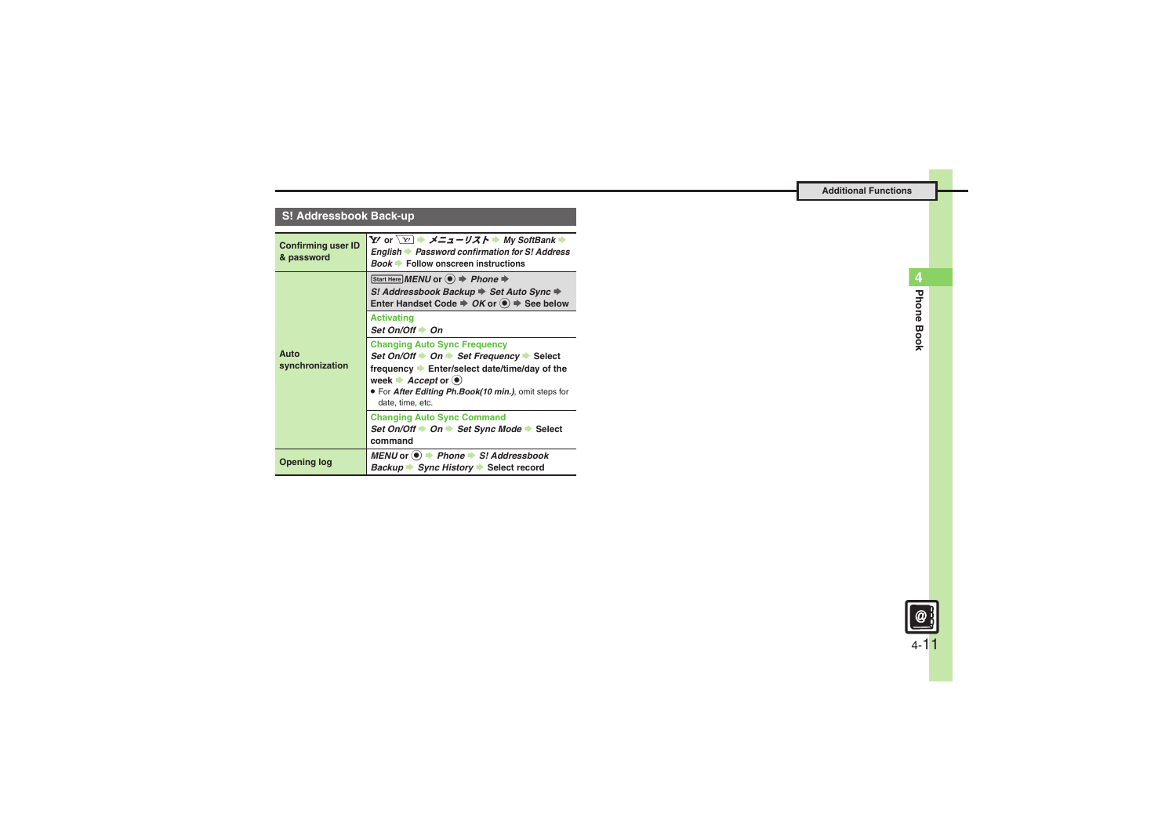## **S! Addressbook Back-up**

<span id="page-10-2"></span><span id="page-10-1"></span><span id="page-10-0"></span>

| <b>Confirming user ID</b><br>& password | Y' or $\boxed{Y}$ $\Rightarrow$ $\angle Z = -U \angle X$ $\Rightarrow$ My SoftBank $\Rightarrow$<br>English Password confirmation for S! Address<br><b>Book ▶ Follow onscreen instructions</b>                                                                            |
|-----------------------------------------|---------------------------------------------------------------------------------------------------------------------------------------------------------------------------------------------------------------------------------------------------------------------------|
| Auto<br>synchronization                 | Start Here MENU or $\textcircled{\textcircled{\#}}$ Phone $\textup{\textcircled{\#}}$<br>S! Addressbook Backup → Set Auto Sync →<br>Enter Handset Code $\Rightarrow$ OK or $\circledast$ $\Rightarrow$ See below                                                          |
|                                         | <b>Activating</b><br>Set On/Off $\Rightarrow$ On                                                                                                                                                                                                                          |
|                                         | <b>Changing Auto Sync Frequency</b><br>Set On/Off → On → Set Frequency → Select<br>frequency Enter/select date/time/day of the<br>week $\blacktriangleright$ <i>Accept</i> or $\blacklozenge$<br>. For After Editing Ph.Book(10 min.), omit steps for<br>date, time, etc. |
|                                         | <b>Changing Auto Sync Command</b><br>Set On/Off → On → Set Sync Mode → Select<br>command                                                                                                                                                                                  |
| Opening log                             | MENU or $\bullet$ $\bullet$ Phone $\bullet$ S! Addressbook<br>Backup Sync History Select record                                                                                                                                                                           |